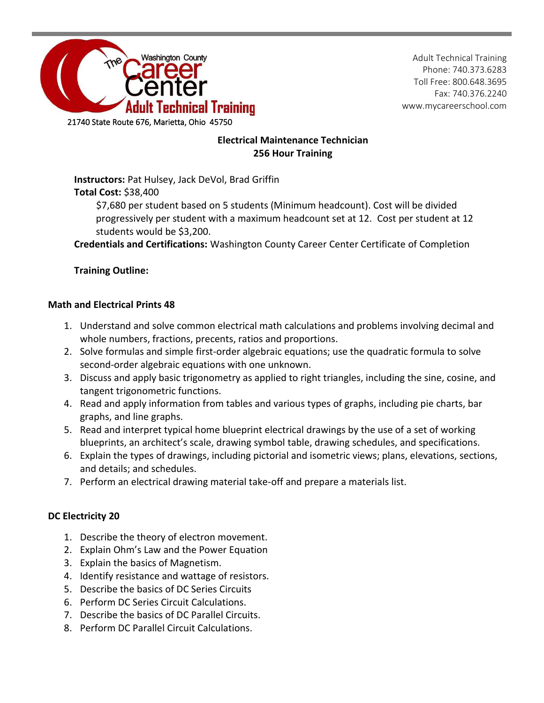

Adult Technical Training Phone: 740.373.6283 Toll Free: 800.648.3695 Fax: 740.376.2240 www.mycareerschool.com

## **Electrical Maintenance Technician 256 Hour Training**

**Instructors:** Pat Hulsey, Jack DeVol, Brad Griffin **Total Cost:** \$38,400

\$7,680 per student based on 5 students (Minimum headcount). Cost will be divided progressively per student with a maximum headcount set at 12. Cost per student at 12 students would be \$3,200.

**Credentials and Certifications:** Washington County Career Center Certificate of Completion

## **Training Outline:**

### **Math and Electrical Prints 48**

- 1. Understand and solve common electrical math calculations and problems involving decimal and whole numbers, fractions, precents, ratios and proportions.
- 2. Solve formulas and simple first-order algebraic equations; use the quadratic formula to solve second-order algebraic equations with one unknown.
- 3. Discuss and apply basic trigonometry as applied to right triangles, including the sine, cosine, and tangent trigonometric functions.
- 4. Read and apply information from tables and various types of graphs, including pie charts, bar graphs, and line graphs.
- 5. Read and interpret typical home blueprint electrical drawings by the use of a set of working blueprints, an architect's scale, drawing symbol table, drawing schedules, and specifications.
- 6. Explain the types of drawings, including pictorial and isometric views; plans, elevations, sections, and details; and schedules.
- 7. Perform an electrical drawing material take-off and prepare a materials list.

## **DC Electricity 20**

- 1. Describe the theory of electron movement.
- 2. Explain Ohm's Law and the Power Equation
- 3. Explain the basics of Magnetism.
- 4. Identify resistance and wattage of resistors.
- 5. Describe the basics of DC Series Circuits
- 6. Perform DC Series Circuit Calculations.
- 7. Describe the basics of DC Parallel Circuits.
- 8. Perform DC Parallel Circuit Calculations.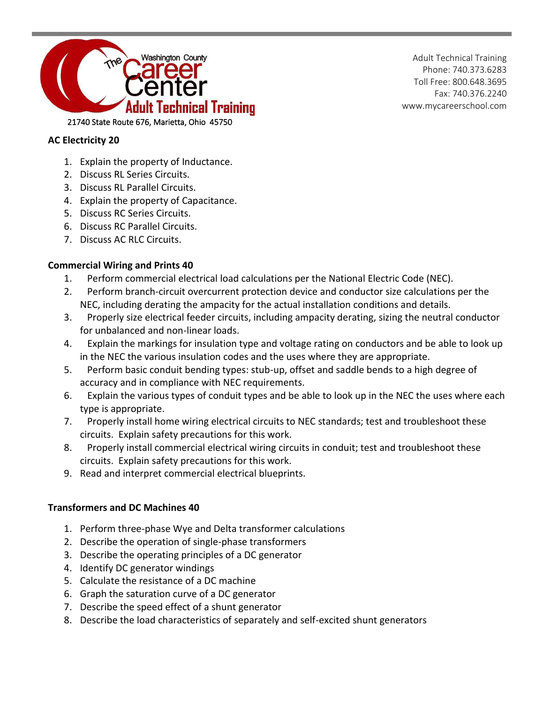

Adult Technical Training Phone: 740.373.6283 Toll Free: 800.648.3695 Fax: 740.376.2240 www.mycareerschool.com

### **AC Electricity 20**

- 1. Explain the property of Inductance.
- 2. Discuss RL Series Circuits.
- 3. Discuss RL Parallel Circuits.
- 4. Explain the property of Capacitance.
- 5. Discuss RC Series Circuits.
- 6. Discuss RC Parallel Circuits.
- 7. Discuss AC RLC Circuits.

#### **Commercial Wiring and Prints 40**

- 1. Perform commercial electrical load calculations per the National Electric Code (NEC).
- 2. Perform branch-circuit overcurrent protection device and conductor size calculations per the NEC, including derating the ampacity for the actual installation conditions and details.
- 3. Properly size electrical feeder circuits, including ampacity derating, sizing the neutral conductor for unbalanced and non-linear loads.
- 4. Explain the markings for insulation type and voltage rating on conductors and be able to look up in the NEC the various insulation codes and the uses where they are appropriate.
- 5. Perform basic conduit bending types: stub-up, offset and saddle bends to a high degree of accuracy and in compliance with NEC requirements.
- 6. Explain the various types of conduit types and be able to look up in the NEC the uses where each type is appropriate.
- 7. Properly install home wiring electrical circuits to NEC standards; test and troubleshoot these circuits. Explain safety precautions for this work.
- 8. Properly install commercial electrical wiring circuits in conduit; test and troubleshoot these circuits. Explain safety precautions for this work.
- 9. Read and interpret commercial electrical blueprints.

#### **Transformers and DC Machines 40**

- 1. Perform three-phase Wye and Delta transformer calculations
- 2. Describe the operation of single-phase transformers
- 3. Describe the operating principles of a DC generator
- 4. Identify DC generator windings
- 5. Calculate the resistance of a DC machine
- 6. Graph the saturation curve of a DC generator
- 7. Describe the speed effect of a shunt generator
- 8. Describe the load characteristics of separately and self-excited shunt generators